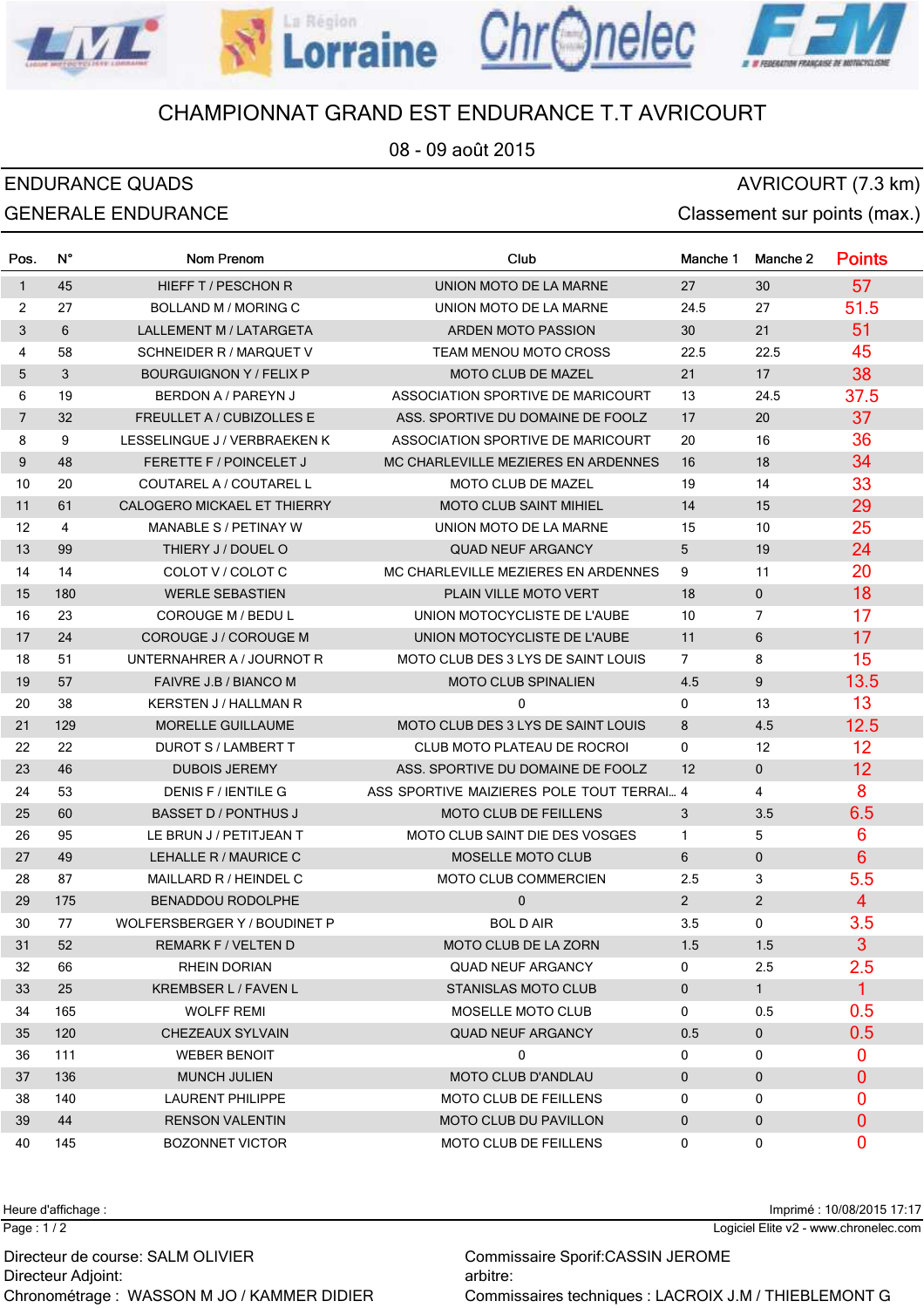

La Région

Chr<sub>Onelec</sub>

08 - 09 août 2015

## ENDURANCE QUADS AVRICOURT (7.3 km) GENERALE ENDURANCE **CONSERVERS** Classement sur points (max.)

LML

| Pos.           | N°  | Nom Prenom                     | Club                                      | Manche 1          | Manche 2          | <b>Points</b>    |
|----------------|-----|--------------------------------|-------------------------------------------|-------------------|-------------------|------------------|
| $\mathbf{1}$   | 45  | HIEFF T / PESCHON R            | UNION MOTO DE LA MARNE                    | 27                | 30                | 57               |
| 2              | 27  | BOLLAND M / MORING C           | UNION MOTO DE LA MARNE                    | 24.5              | 27                | 51.5             |
| 3              | 6   | LALLEMENT M / LATARGETA        | ARDEN MOTO PASSION                        | 30                | 21                | 51               |
| $\overline{4}$ | 58  | SCHNEIDER R / MARQUET V        | <b>TEAM MENOU MOTO CROSS</b>              | 22.5              | 22.5              | 45               |
| 5              | 3   | <b>BOURGUIGNON Y / FELIX P</b> | MOTO CLUB DE MAZEL                        | 21                | 17                | 38               |
| 6              | 19  | BERDON A / PAREYN J            | ASSOCIATION SPORTIVE DE MARICOURT         | 13                | 24.5              | 37.5             |
| $\overline{7}$ | 32  | FREULLET A / CUBIZOLLES E      | ASS. SPORTIVE DU DOMAINE DE FOOLZ         | 17                | 20                | 37               |
| 8              | 9   | LESSELINGUE J / VERBRAEKEN K   | ASSOCIATION SPORTIVE DE MARICOURT         | 20                | 16                | 36               |
| 9              | 48  | <b>FERETTE F / POINCELET J</b> | MC CHARLEVILLE MEZIERES EN ARDENNES       | 16                | 18                | 34               |
| 10             | 20  | COUTAREL A / COUTAREL L        | MOTO CLUB DE MAZEL                        | 19                | 14                | 33               |
| 11             | 61  | CALOGERO MICKAEL ET THIERRY    | <b>MOTO CLUB SAINT MIHIEL</b>             | 14                | 15                | 29               |
| 12             | 4   | MANABLE S / PETINAY W          | UNION MOTO DE LA MARNE                    | 15                | 10                | 25               |
| 13             | 99  | THIERY J / DOUEL O             | <b>QUAD NEUF ARGANCY</b>                  | 5                 | 19                | 24               |
| 14             | 14  | COLOT V / COLOT C              | MC CHARLEVILLE MEZIERES EN ARDENNES       | 9                 | 11                | 20               |
| 15             | 180 | <b>WERLE SEBASTIEN</b>         | <b>PLAIN VILLE MOTO VERT</b>              | 18                | $\mathbf 0$       | 18               |
| 16             | 23  | <b>COROUGE M / BEDU L</b>      | UNION MOTOCYCLISTE DE L'AUBE              | 10                | $\overline{7}$    | 17               |
| 17             | 24  | COROUGE J / COROUGE M          | UNION MOTOCYCLISTE DE L'AUBE              | 11                | 6                 | 17               |
| 18             | 51  | UNTERNAHRER A / JOURNOT R      | MOTO CLUB DES 3 LYS DE SAINT LOUIS        | $\overline{7}$    | 8                 | 15               |
| 19             | 57  | FAIVRE J.B / BIANCO M          | <b>MOTO CLUB SPINALIEN</b>                | 4.5               | 9                 | 13.5             |
| 20             | 38  | KERSTEN J / HALLMAN R          | 0                                         | 0                 | 13                | 13               |
| 21             | 129 | MORELLE GUILLAUME              | MOTO CLUB DES 3 LYS DE SAINT LOUIS        | 8                 | 4.5               | 12.5             |
| 22             | 22  | DUROT S / LAMBERT T            | CLUB MOTO PLATEAU DE ROCROI               | 0                 | $12 \overline{ }$ | 12               |
| 23             | 46  | <b>DUBOIS JEREMY</b>           | ASS. SPORTIVE DU DOMAINE DE FOOLZ         | $12 \overline{ }$ | $\mathbf 0$       | 12               |
| 24             | 53  | DENIS F / IENTILE G            | ASS SPORTIVE MAIZIERES POLE TOUT TERRAI 4 |                   | 4                 | 8                |
| 25             | 60  | <b>BASSET D / PONTHUS J</b>    | <b>MOTO CLUB DE FEILLENS</b>              | 3                 | 3.5               | 6.5              |
| 26             | 95  | LE BRUN J / PETITJEAN T        | <b>MOTO CLUB SAINT DIE DES VOSGES</b>     | $\mathbf{1}$      | 5                 | 6                |
| 27             | 49  | LEHALLE R / MAURICE C          | <b>MOSELLE MOTO CLUB</b>                  | 6                 | $\mathbf 0$       | $6\phantom{1}$   |
| 28             | 87  | MAILLARD R / HEINDEL C         | MOTO CLUB COMMERCIEN                      | 2.5               | 3                 | 5.5              |
| 29             | 175 | <b>BENADDOU RODOLPHE</b>       | 0                                         | $2^{\circ}$       | $\overline{2}$    | $\overline{4}$   |
| 30             | 77  | WOLFERSBERGER Y / BOUDINET P   | <b>BOL D AIR</b>                          | 3.5               | 0                 | 3.5              |
| 31             | 52  | REMARK F / VELTEN D            | MOTO CLUB DE LA ZORN                      | 1.5               | 1.5               | $\overline{3}$   |
| 32             | 66  | RHEIN DORIAN                   | <b>QUAD NEUF ARGANCY</b>                  | 0                 | 2.5               | 2.5              |
| 33             | 25  | KREMBSER L / FAVEN L           | <b>STANISLAS MOTO CLUB</b>                | $\mathbf 0$       | 1                 | $\mathbf{1}$     |
| 34             | 165 | <b>WOLFF REMI</b>              | MOSELLE MOTO CLUB                         | $\mathbf 0$       | 0.5               | 0.5              |
| 35             | 120 | CHEZEAUX SYLVAIN               | QUAD NEUF ARGANCY                         | 0.5               | $\mathbf 0$       | 0.5              |
| 36             | 111 | <b>WEBER BENOIT</b>            | 0                                         | 0                 | 0                 | 0                |
| 37             | 136 | <b>MUNCH JULIEN</b>            | <b>MOTO CLUB D'ANDLAU</b>                 | $\mathbf 0$       | $\mathbf 0$       | $\mathbf{0}$     |
| 38             | 140 | <b>LAURENT PHILIPPE</b>        | MOTO CLUB DE FEILLENS                     | 0                 | 0                 | 0                |
| 39             | 44  | <b>RENSON VALENTIN</b>         | <b>MOTO CLUB DU PAVILLON</b>              | 0                 | 0                 | $\boldsymbol{0}$ |
| 40             | 145 | <b>BOZONNET VICTOR</b>         | <b>MOTO CLUB DE FEILLENS</b>              | $\mathbf 0$       | 0                 | 0                |

Heure d'affichage : Imprimé : 10/08/2015 17:17

Page : 1 / 2

Directeur Adjoint: arbitre: arbitre: arbitre: arbitre: arbitre: arbitre: arbitre: arbitre: arbitre: arbitre: arbitre: arbitre: arbitre: arbitre: arbitre: arbitre: arbitre: arbitre: arbitre: arbitre: arbitre: arbitre: arbit Directeur de course: SALM OLIVIER Commissaire Sporif:CASSIN JEROME

Logiciel Elite v2 - www.chronelec.com

Chronométrage : WASSON M JO / KAMMER DIDIER Commissaires techniques : LACROIX J.M / THIEBLEMONT G